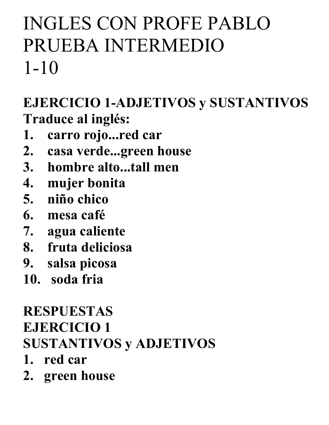# INGLES CON PROFE PABLO PRUEBA INTERMEDIO 1-10

**EJERCICIO 1-ADJETIVOS y SUSTANTIVOS Traduce al inglés:**

- **1. carro rojo...red car**
- **2. casa verde...green house**
- **3. hombre alto...tall men**
- **4. mujer bonita**
- **5. niño chico**
- **6. mesa café**
- **7. agua caliente**
- **8. fruta deliciosa**
- **9. salsa picosa**
- **10. soda fria**

## **RESPUESTAS**

#### **EJERCICIO 1**

#### **SUSTANTIVOS y ADJETIVOS**

- **1. red car**
- **2. green house**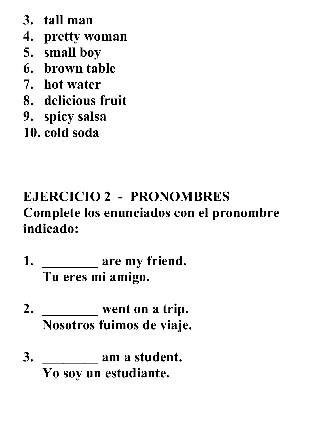- **3. tall man**
- **4. pretty woman**
- **5. small boy**
- **6. brown table**
- **7. hot water**
- **8. delicious fruit**
- **9. spicy salsa**
- **10. cold soda**

## **EJERCICIO 2 - PRONOMBRES Complete los enunciados con el pronombre indicado:**

- **1. \_\_\_\_\_\_\_\_ are my friend. Tu eres mi amigo.**
- **2. \_\_\_\_\_\_\_\_ went on a trip. Nosotros fuimos de viaje.**
- **3. \_\_\_\_\_\_\_\_ am a student. Yo soy un estudiante.**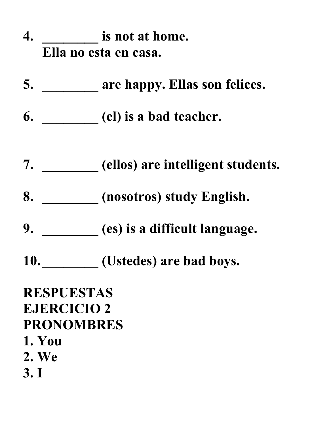- **4. \_\_\_\_\_\_\_\_ is not at home. Ella no esta en casa.**
- **5. \_\_\_\_\_\_\_\_ are happy. Ellas son felices.**
- **6. \_\_\_\_\_\_\_\_ (el) is a bad teacher.**
- **7. \_\_\_\_\_\_\_\_ (ellos) are intelligent students.**
- **8. \_\_\_\_\_\_\_\_ (nosotros) study English.**
- **9. \_\_\_\_\_\_\_\_ (es) is a difficult language.**
- **10. \_\_\_\_\_\_\_\_ (Ustedes) are bad boys.**

#### **RESPUESTAS EJERCICIO 2 PRONOMBRES 1. You 2. We 3. I**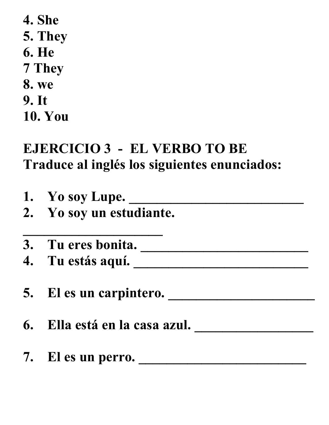## **4. She 5. They 6. He 7 They 8. we 9. It 10. You**

## **EJERCICIO 3 - EL VERBO TO BE Traduce al inglés los siguientes enunciados:**

- **1. Yo soy Lupe. \_\_\_\_\_\_\_\_\_\_\_\_\_\_\_\_\_\_\_\_\_\_\_\_\_**
- **2. Yo soy un estudiante.**

**\_\_\_\_\_\_\_\_\_\_\_\_\_\_\_\_\_\_\_\_**

- **3. Tu eres bonita. \_\_\_\_\_\_\_\_\_\_\_\_\_\_\_\_\_\_\_\_\_\_\_\_**
- **4. Tu estás aquí. \_\_\_\_\_\_\_\_\_\_\_\_\_\_\_\_\_\_\_\_\_\_\_\_\_**
- **5. El es un carpintero. \_\_\_\_\_\_\_\_\_\_\_\_\_\_\_\_\_\_\_\_\_**
- **6. Ella está en la casa azul. \_\_\_\_\_\_\_\_\_\_\_\_\_\_\_\_\_**
- **7. El es un perro. \_\_\_\_\_\_\_\_\_\_\_\_\_\_\_\_\_\_\_\_\_\_\_\_**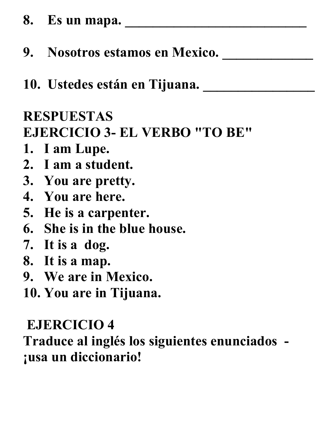- **8. Es un mapa. \_\_\_\_\_\_\_\_\_\_\_\_\_\_\_\_\_\_\_\_\_\_\_\_\_\_**
- **9. Nosotros estamos en Mexico. \_\_\_\_\_\_\_\_\_\_\_\_\_**
- **10. Ustedes están en Tijuana. \_\_\_\_\_\_\_\_\_\_\_\_\_\_\_\_**

## **RESPUESTAS EJERCICIO 3- EL VERBO "TO BE"**

- **1. I am Lupe.**
- **2. I am a student.**
- **3. You are pretty.**
- **4. You are here.**
- **5. He is a carpenter.**
- **6. She is in the blue house.**
- **7. It is a dog.**
- **8. It is a map.**
- **9. We are in Mexico.**
- **10. You are in Tijuana.**

#### **EJERCICIO 4**

**Traduce al inglés los siguientes enunciados - ¡usa un diccionario!**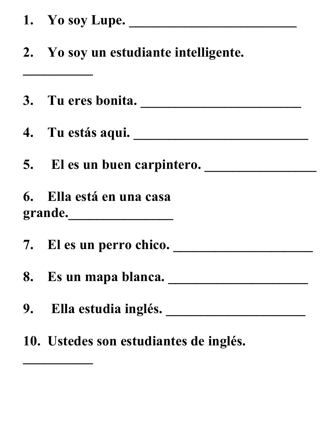| 1. Yo soy Lupe. |  |
|-----------------|--|
|                 |  |

**\_\_\_\_\_\_\_\_\_\_**

**\_\_\_\_\_\_\_\_\_\_**

#### **2. Yo soy un estudiante intelligente.**

| 3. Tu eres bonita.                  |  |  |
|-------------------------------------|--|--|
| 4. Tu estás aqui.                   |  |  |
| 5. El es un buen carpintero.        |  |  |
| 6. Ella está en una casa<br>grande. |  |  |
| 7. El es un perro chico.            |  |  |
| 8. Es un mapa blanca.               |  |  |
| 9. Ella estudia inglés.             |  |  |

**10. Ustedes son estudiantes de inglés.**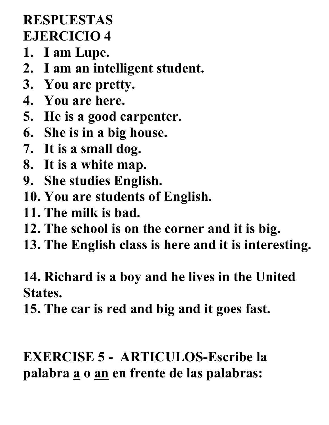## **RESPUESTAS EJERCICIO 4**

- **1. I am Lupe.**
- **2. I am an intelligent student.**
- **3. You are pretty.**
- **4. You are here.**
- **5. He is a good carpenter.**
- **6. She is in a big house.**
- **7. It is a small dog.**
- **8. It is a white map.**
- **9. She studies English.**
- **10. You are students of English.**
- **11. The milk is bad.**
- **12. The school is on the corner and it is big.**
- **13. The English class is here and it is interesting.**

#### **14. Richard is a boy and he lives in the United States.**

**15. The car is red and big and it goes fast.**

## **EXERCISE 5 - ARTICULOS-Escribe la palabra a o an en frente de las palabras:**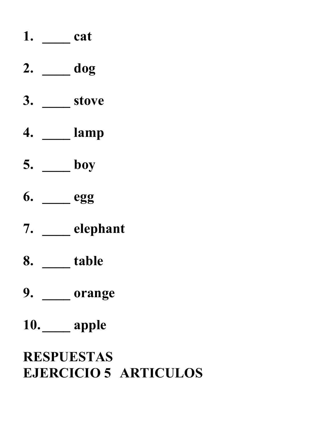- **1. \_\_\_\_ cat**
- **2. \_\_\_\_ dog**
- **3. \_\_\_\_ stove**
- **4. \_\_\_\_ lamp**
- **5. \_\_\_\_ boy**
- **6. \_\_\_\_ egg**
- **7. \_\_\_\_ elephant**
- **8. \_\_\_\_ table**
- **9. \_\_\_\_ orange**
- **10. \_\_\_\_ apple**

## **RESPUESTAS EJERCICIO 5 ARTICULOS**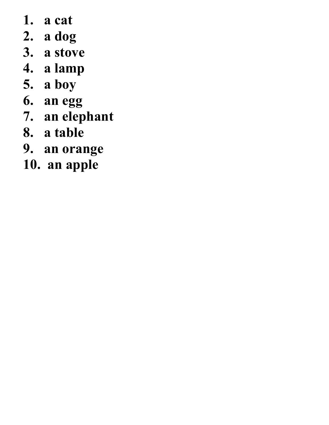- **1. a cat**
- **2. a dog**
- **3. a stove**
- **4. a lamp**
- **5. a boy**
- **6. an egg**
- **7. an elephant**
- **8. a table**
- **9. an orange**
- **10. an apple**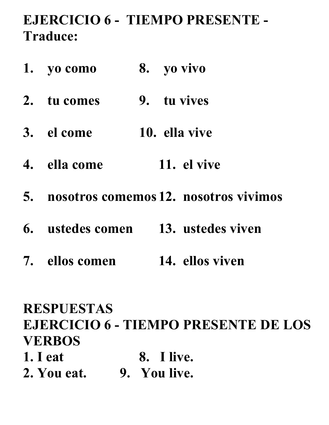## **EJERCICIO 6 - TIEMPO PRESENTE - Traduce:**

- **1. yo como 8. yo vivo**
- **2. tu comes 9. tu vives**
- **3. el come 10. ella vive**
- **4. ella come 11. el vive**
- **5. nosotros comemos 12. nosotros vivimos**
- **6. ustedes comen 13. ustedes viven**
- **7. ellos comen 14. ellos viven**

## **RESPUESTAS EJERCICIO 6 - TIEMPO PRESENTE DE LOS VERBOS**

- **1. I eat 8. I live.**
- **2. You eat. 9. You live.**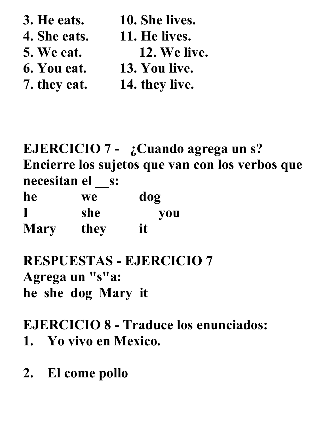- **3. He eats. 10. She lives.**
	-
- **4. She eats. 11. He lives.**
- 
- **5. We eat. 12. We live.**
- **6. You eat. 13. You live.**
- 
- 
- **7. they eat. 14. they live.**

**EJERCICIO 7 - ¿Cuando agrega un s? Encierre los sujetos que van con los verbos que necesitan el \_\_s:**

| he          | <b>we</b> | dog |
|-------------|-----------|-----|
|             | she       | you |
| <b>Mary</b> | they      | it  |

**RESPUESTAS - EJERCICIO 7 Agrega un "s"a: he she dog Mary it**

**EJERCICIO 8 - Traduce los enunciados: 1. Yo vivo en Mexico.**

**2. El come pollo**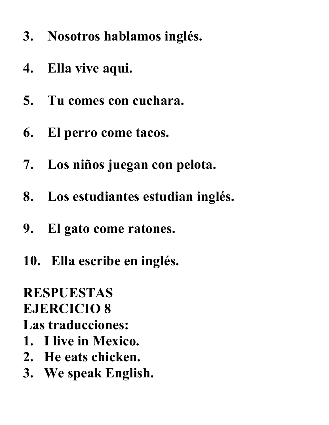- **3. Nosotros hablamos inglés.**
- **4. Ella vive aqui.**
- **5. Tu comes con cuchara.**
- **6. El perro come tacos.**
- **7. Los niños juegan con pelota.**
- **8. Los estudiantes estudian inglés.**
- **9. El gato come ratones.**
- **10. Ella escribe en inglés.**

#### **RESPUESTAS EJERCICIO 8**

## **Las traducciones:**

- **1. I live in Mexico.**
- **2. He eats chicken.**
- **3. We speak English.**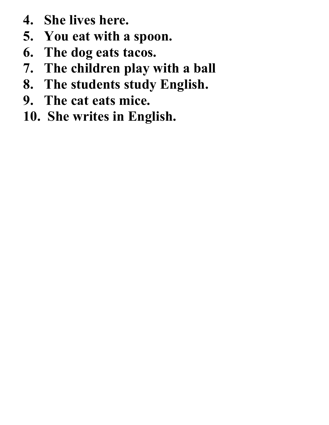- **4. She lives here.**
- **5. You eat with a spoon.**
- **6. The dog eats tacos.**
- **7. The children play with a ball**
- **8. The students study English.**
- **9. The cat eats mice.**
- **10. She writes in English.**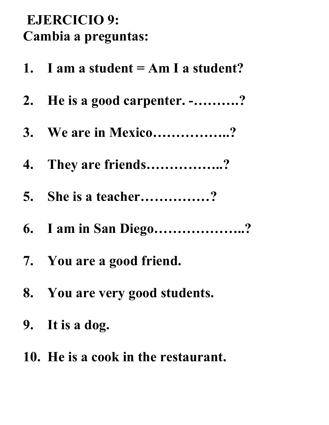## **EJERCICIO 9: Cambia a preguntas:**

| 1. I am a student $= Am I$ a student? |
|---------------------------------------|
| 2. He is a good carpenter. -?         |
| 3. We are in Mexico?                  |
| 4. They are friends?                  |
| 5. She is a teacher?                  |
| 6. I am in San Diego?                 |
| 7. You are a good friend.             |
| 8. You are very good students.        |
| 9. It is a dog.                       |
| 10. He is a cook in the restaurant.   |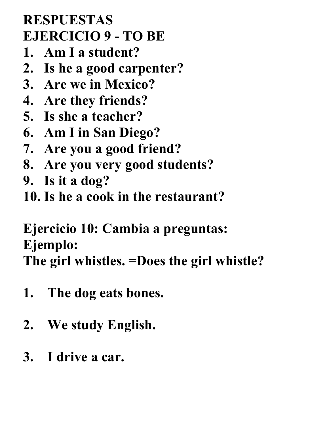## **RESPUESTAS EJERCICIO 9 - TO BE**

- **1. Am I a student?**
- **2. Is he a good carpenter?**
- **3. Are we in Mexico?**
- **4. Are they friends?**
- **5. Is she a teacher?**
- **6. Am I in San Diego?**
- **7. Are you a good friend?**
- **8. Are you very good students?**
- **9. Is it a dog?**
- **10. Is he a cook in the restaurant?**

# **Ejercicio 10: Cambia a preguntas: Ejemplo:**

**The girl whistles. =Does the girl whistle?**

- **1. The dog eats bones.**
- **2. We study English.**
- **3. I drive a car.**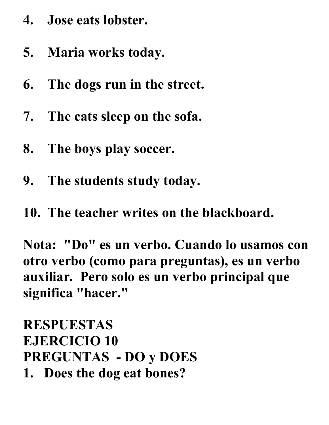- **4. Jose eats lobster.**
- **5. Maria works today.**
- **6. The dogs run in the street.**
- **7. The cats sleep on the sofa.**
- **8. The boys play soccer.**
- **9. The students study today.**
- **10. The teacher writes on the blackboard.**

**Nota: "Do" es un verbo. Cuando lo usamos con otro verbo (como para preguntas), es un verbo auxiliar. Pero solo es un verbo principal que significa "hacer."**

**RESPUESTAS EJERCICIO 10 PREGUNTAS - DO y DOES 1. Does the dog eat bones?**